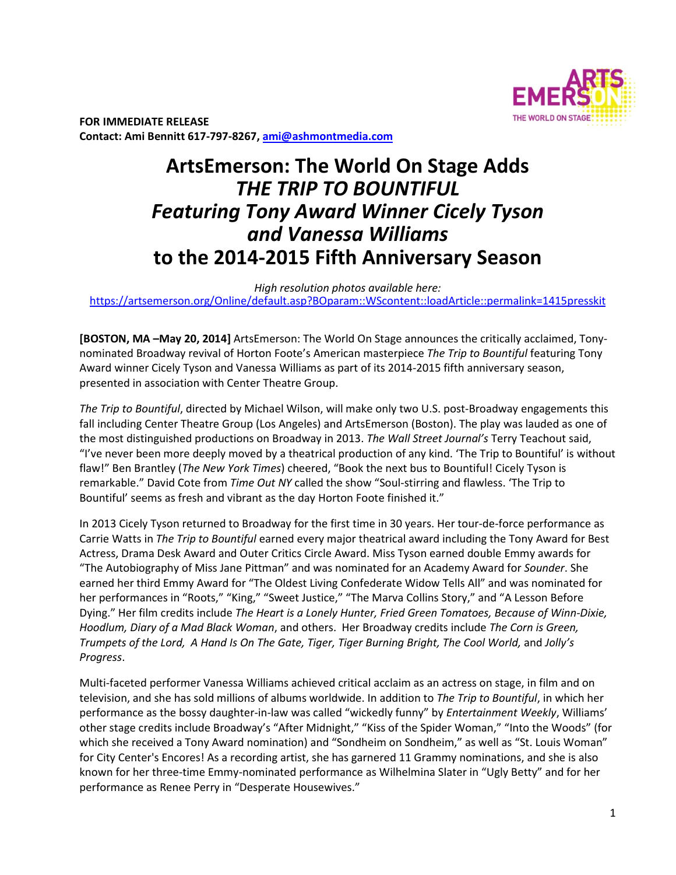

**FOR IMMEDIATE RELEASE Contact: Ami Bennitt 617‐797‐8267, ami@ashmontmedia.com**

# **ArtsEmerson: The World On Stage Adds**  *THE TRIP TO BOUNTIFUL Featuring Tony Award Winner Cicely Tyson and Vanessa Williams*  **to the 2014‐2015 Fifth Anniversary Season**

*High resolution photos available here:*  https://artsemerson.org/Online/default.asp?BOparam::WScontent::loadArticle::permalink=1415presskit

**[BOSTON, MA –May 20, 2014]** ArtsEmerson: The World On Stage announces the critically acclaimed, Tonynominated Broadway revival of Horton Foote's American masterpiece *The Trip to Bountiful* featuring Tony Award winner Cicely Tyson and Vanessa Williams as part of its 2014-2015 fifth anniversary season, presented in association with Center Theatre Group.

*The Trip to Bountiful*, directed by Michael Wilson, will make only two U.S. post-Broadway engagements this fall including Center Theatre Group (Los Angeles) and ArtsEmerson (Boston). The play was lauded as one of the most distinguished productions on Broadway in 2013. *The Wall Street Journal's* Terry Teachout said, "I've never been more deeply moved by a theatrical production of any kind. 'The Trip to Bountiful' is without flaw!" Ben Brantley (*The New York Times*) cheered, "Book the next bus to Bountiful! Cicely Tyson is remarkable." David Cote from *Time Out NY* called the show "Soul-stirring and flawless. 'The Trip to Bountiful' seems as fresh and vibrant as the day Horton Foote finished it."

In 2013 Cicely Tyson returned to Broadway for the first time in 30 years. Her tour-de-force performance as Carrie Watts in *The Trip to Bountiful* earned every major theatrical award including the Tony Award for Best Actress, Drama Desk Award and Outer Critics Circle Award. Miss Tyson earned double Emmy awards for "The Autobiography of Miss Jane Pittman" and was nominated for an Academy Award for *Sounder*. She earned her third Emmy Award for "The Oldest Living Confederate Widow Tells All" and was nominated for her performances in "Roots," "King," "Sweet Justice," "The Marva Collins Story," and "A Lesson Before Dying." Her film credits include *The Heart is a Lonely Hunter, Fried Green Tomatoes, Because of Winn-Dixie, Hoodlum, Diary of a Mad Black Woman*, and others. Her Broadway credits include *The Corn is Green, Trumpets of the Lord, A Hand Is On The Gate, Tiger, Tiger Burning Bright, The Cool World, and Jolly's Progress*.

Multi-faceted performer Vanessa Williams achieved critical acclaim as an actress on stage, in film and on television, and she has sold millions of albums worldwide. In addition to *The Trip to Bountiful*, in which her performance as the bossy daughter-in-law was called "wickedly funny" by *Entertainment Weekly*, Williams' other stage credits include Broadway's "After Midnight," "Kiss of the Spider Woman," "Into the Woods" (for which she received a Tony Award nomination) and "Sondheim on Sondheim," as well as "St. Louis Woman" for City Center's Encores! As a recording artist, she has garnered 11 Grammy nominations, and she is also known for her three-time Emmy-nominated performance as Wilhelmina Slater in "Ugly Betty" and for her performance as Renee Perry in "Desperate Housewives."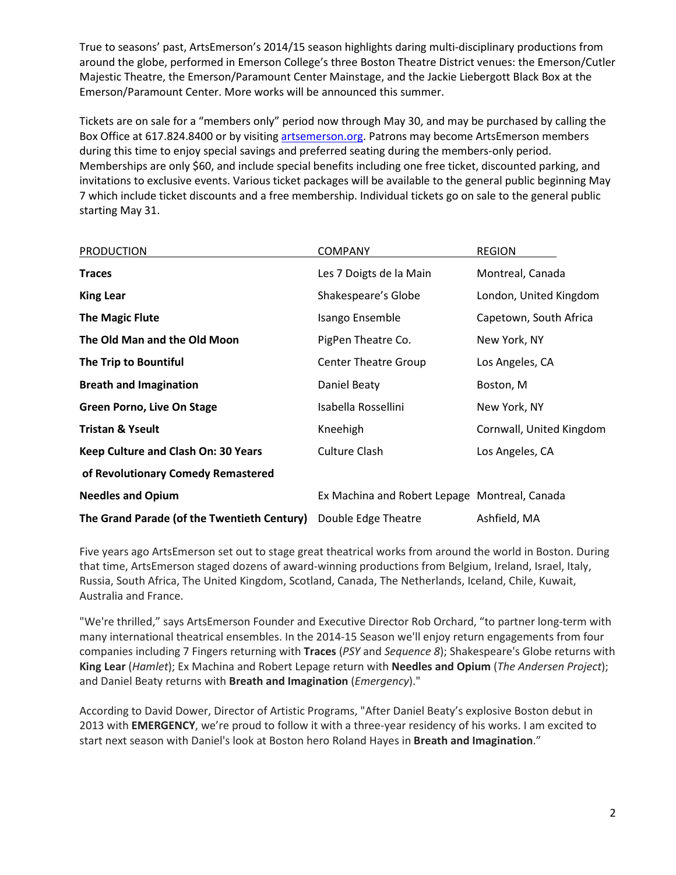True to seasons' past, ArtsEmerson's 2014/15 season highlights daring multi-disciplinary productions from around the globe, performed in Emerson College's three Boston Theatre District venues: the Emerson/Cutler Majestic Theatre, the Emerson/Paramount Center Mainstage, and the Jackie Liebergott Black Box at the Emerson/Paramount Center. More works will be announced this summer.

Tickets are on sale for a "members only" period now through May 30, and may be purchased by calling the Box Office at 617.824.8400 or by visiting artsemerson.org. Patrons may become ArtsEmerson members during this time to enjoy special savings and preferred seating during the members-only period. Memberships are only \$60, and include special benefits including one free ticket, discounted parking, and invitations to exclusive events. Various ticket packages will be available to the general public beginning May 7 which include ticket discounts and a free membership. Individual tickets go on sale to the general public starting May 31.

| <b>PRODUCTION</b>                           | <b>COMPANY</b>                                | <b>REGION</b>            |
|---------------------------------------------|-----------------------------------------------|--------------------------|
| <b>Traces</b>                               | Les 7 Doigts de la Main                       | Montreal, Canada         |
| <b>King Lear</b>                            | Shakespeare's Globe                           | London, United Kingdom   |
| <b>The Magic Flute</b>                      | Isango Ensemble                               | Capetown, South Africa   |
| The Old Man and the Old Moon                | PigPen Theatre Co.                            | New York, NY             |
| The Trip to Bountiful                       | <b>Center Theatre Group</b>                   | Los Angeles, CA          |
| <b>Breath and Imagination</b>               | Daniel Beaty                                  | Boston, M                |
| <b>Green Porno, Live On Stage</b>           | Isabella Rossellini                           | New York, NY             |
| <b>Tristan &amp; Yseult</b>                 | Kneehigh                                      | Cornwall, United Kingdom |
| Keep Culture and Clash On: 30 Years         | Culture Clash                                 | Los Angeles, CA          |
| of Revolutionary Comedy Remastered          |                                               |                          |
| <b>Needles and Opium</b>                    | Ex Machina and Robert Lepage Montreal, Canada |                          |
| The Grand Parade (of the Twentieth Century) | Double Edge Theatre                           | Ashfield, MA             |

Five years ago ArtsEmerson set out to stage great theatrical works from around the world in Boston. During that time, ArtsEmerson staged dozens of award-winning productions from Belgium, Ireland, Israel, Italy, Russia, South Africa, The United Kingdom, Scotland, Canada, The Netherlands, Iceland, Chile, Kuwait, Australia and France.

"We're thrilled," says ArtsEmerson Founder and Executive Director Rob Orchard, "to partner long-term with many international theatrical ensembles. In the 2014-15 Season we'll enjoy return engagements from four companies including 7 Fingers returning with **Traces** (*PSY* and *Sequence 8*); Shakespeare's Globe returns with **King Lear** (*Hamlet*); Ex Machina and Robert Lepage return with **Needles and Opium** (*The Andersen Project*); and Daniel Beaty returns with **Breath and Imagination** (*Emergency*)."

According to David Dower, Director of Artistic Programs, "After Daniel Beaty's explosive Boston debut in 2013 with **EMERGENCY**, we're proud to follow it with a three-year residency of his works. I am excited to start next season with Daniel's look at Boston hero Roland Hayes in **Breath and Imagination**."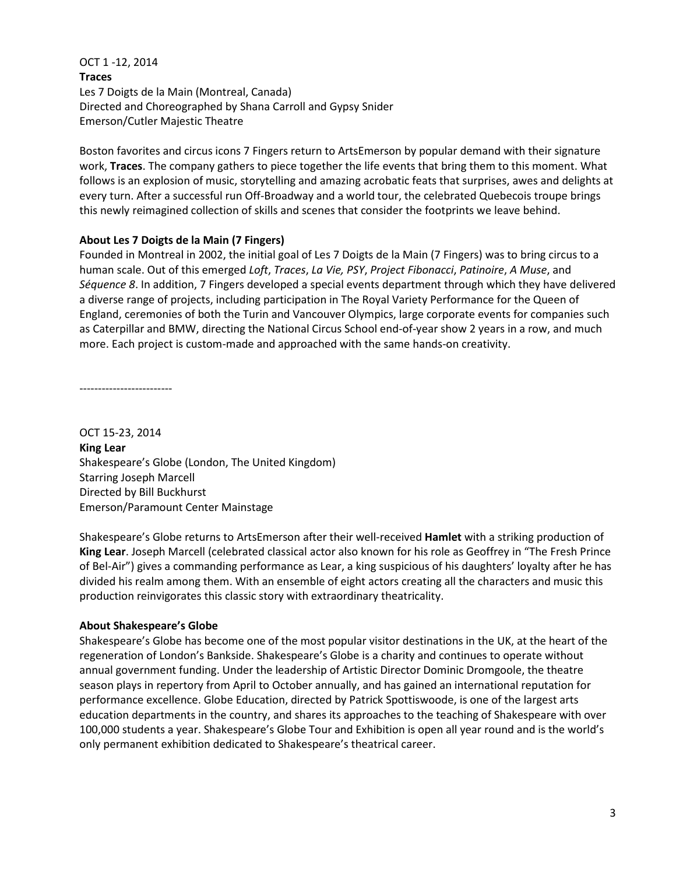OCT 1 -12, 2014 **Traces**  Les 7 Doigts de la Main (Montreal, Canada) Directed and Choreographed by Shana Carroll and Gypsy Snider Emerson/Cutler Majestic Theatre

Boston favorites and circus icons 7 Fingers return to ArtsEmerson by popular demand with their signature work, **Traces**. The company gathers to piece together the life events that bring them to this moment. What follows is an explosion of music, storytelling and amazing acrobatic feats that surprises, awes and delights at every turn. After a successful run Off-Broadway and a world tour, the celebrated Quebecois troupe brings this newly reimagined collection of skills and scenes that consider the footprints we leave behind.

## **About Les 7 Doigts de la Main (7 Fingers)**

Founded in Montreal in 2002, the initial goal of Les 7 Doigts de la Main (7 Fingers) was to bring circus to a human scale. Out of this emerged *Loft*, *Traces*, *La Vie, PSY*, *Project Fibonacci*, *Patinoire*, *A Muse*, and *Séquence 8*. In addition, 7 Fingers developed a special events department through which they have delivered a diverse range of projects, including participation in The Royal Variety Performance for the Queen of England, ceremonies of both the Turin and Vancouver Olympics, large corporate events for companies such as Caterpillar and BMW, directing the National Circus School end-of-year show 2 years in a row, and much more. Each project is custom-made and approached with the same hands-on creativity.

-------------------------

OCT 15-23, 2014 **King Lear** Shakespeare's Globe (London, The United Kingdom) Starring Joseph Marcell Directed by Bill Buckhurst Emerson/Paramount Center Mainstage

Shakespeare's Globe returns to ArtsEmerson after their well-received **Hamlet** with a striking production of **King Lear**. Joseph Marcell (celebrated classical actor also known for his role as Geoffrey in "The Fresh Prince of Bel-Air") gives a commanding performance as Lear, a king suspicious of his daughters' loyalty after he has divided his realm among them. With an ensemble of eight actors creating all the characters and music this production reinvigorates this classic story with extraordinary theatricality.

# **About Shakespeare's Globe**

Shakespeare's Globe has become one of the most popular visitor destinations in the UK, at the heart of the regeneration of London's Bankside. Shakespeare's Globe is a charity and continues to operate without annual government funding. Under the leadership of Artistic Director Dominic Dromgoole, the theatre season plays in repertory from April to October annually, and has gained an international reputation for performance excellence. Globe Education, directed by Patrick Spottiswoode, is one of the largest arts education departments in the country, and shares its approaches to the teaching of Shakespeare with over 100,000 students a year. Shakespeare's Globe Tour and Exhibition is open all year round and is the world's only permanent exhibition dedicated to Shakespeare's theatrical career.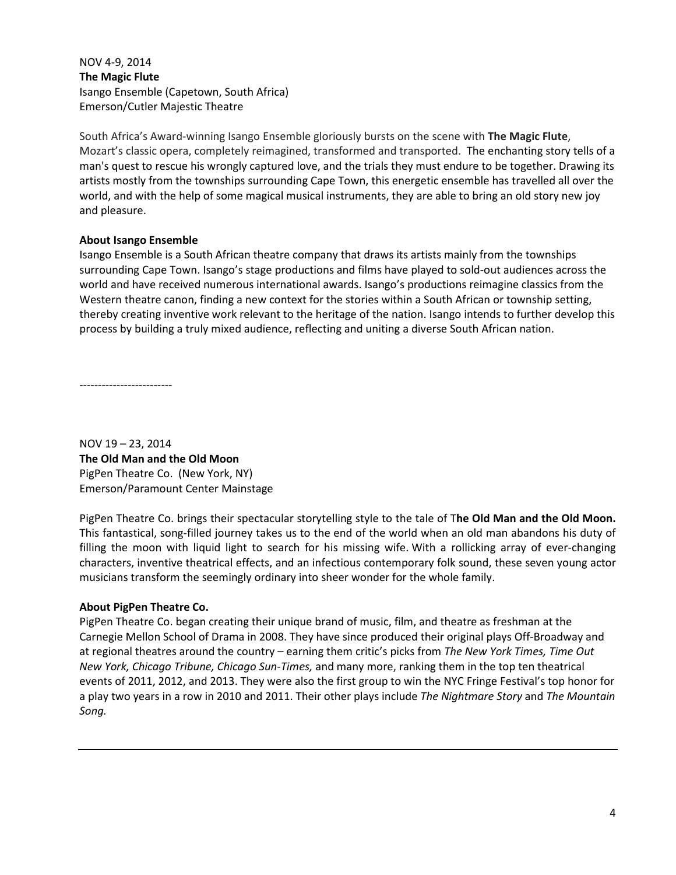# NOV 4-9, 2014 **The Magic Flute**  Isango Ensemble (Capetown, South Africa) Emerson/Cutler Majestic Theatre

South Africa's Award-winning Isango Ensemble gloriously bursts on the scene with **The Magic Flute**, Mozart's classic opera, completely reimagined, transformed and transported. The enchanting story tells of a man's quest to rescue his wrongly captured love, and the trials they must endure to be together. Drawing its artists mostly from the townships surrounding Cape Town, this energetic ensemble has travelled all over the world, and with the help of some magical musical instruments, they are able to bring an old story new joy and pleasure.

## **About Isango Ensemble**

Isango Ensemble is a South African theatre company that draws its artists mainly from the townships surrounding Cape Town. Isango's stage productions and films have played to sold-out audiences across the world and have received numerous international awards. Isango's productions reimagine classics from the Western theatre canon, finding a new context for the stories within a South African or township setting, thereby creating inventive work relevant to the heritage of the nation. Isango intends to further develop this process by building a truly mixed audience, reflecting and uniting a diverse South African nation.

-------------------------

NOV 19 – 23, 2014 **The Old Man and the Old Moon**  PigPen Theatre Co. (New York, NY) Emerson/Paramount Center Mainstage

PigPen Theatre Co. brings their spectacular storytelling style to the tale of T**he Old Man and the Old Moon.**  This fantastical, song-filled journey takes us to the end of the world when an old man abandons his duty of filling the moon with liquid light to search for his missing wife. With a rollicking array of ever-changing characters, inventive theatrical effects, and an infectious contemporary folk sound, these seven young actor musicians transform the seemingly ordinary into sheer wonder for the whole family.

## **About PigPen Theatre Co.**

PigPen Theatre Co. began creating their unique brand of music, film, and theatre as freshman at the Carnegie Mellon School of Drama in 2008. They have since produced their original plays Off-Broadway and at regional theatres around the country – earning them critic's picks from *The New York Times, Time Out New York, Chicago Tribune, Chicago Sun-Times,* and many more, ranking them in the top ten theatrical events of 2011, 2012, and 2013. They were also the first group to win the NYC Fringe Festival's top honor for a play two years in a row in 2010 and 2011. Their other plays include *The Nightmare Story* and *The Mountain Song.*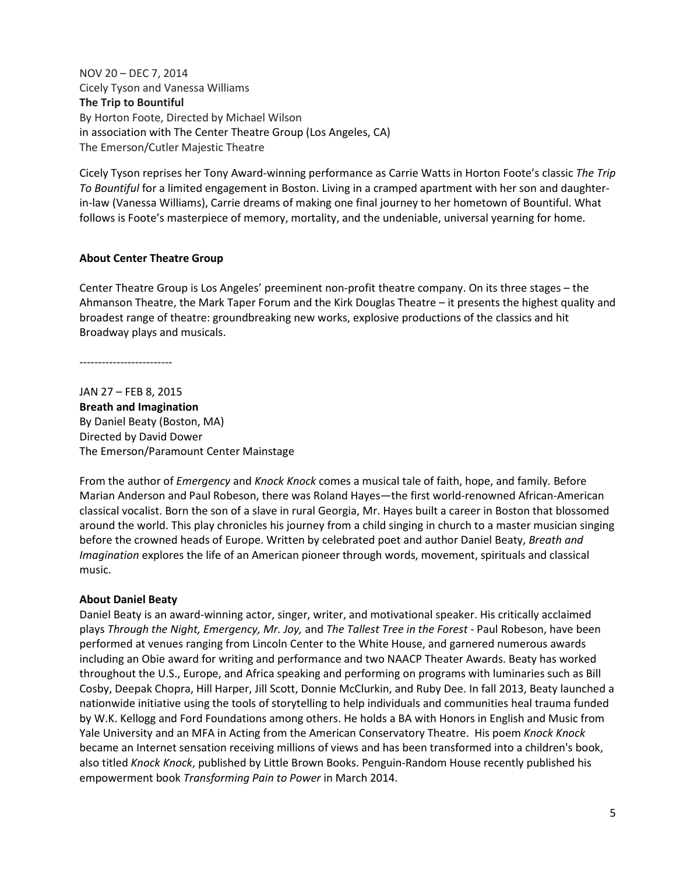NOV 20 – DEC 7, 2014 Cicely Tyson and Vanessa Williams **The Trip to Bountiful**  By Horton Foote, Directed by Michael Wilson in association with The Center Theatre Group (Los Angeles, CA) The Emerson/Cutler Majestic Theatre

Cicely Tyson reprises her Tony Award-winning performance as Carrie Watts in Horton Foote's classic *The Trip To Bountiful* for a limited engagement in Boston. Living in a cramped apartment with her son and daughterin-law (Vanessa Williams), Carrie dreams of making one final journey to her hometown of Bountiful. What follows is Foote's masterpiece of memory, mortality, and the undeniable, universal yearning for home.

## **About Center Theatre Group**

Center Theatre Group is Los Angeles' preeminent non-profit theatre company. On its three stages – the Ahmanson Theatre, the Mark Taper Forum and the Kirk Douglas Theatre – it presents the highest quality and broadest range of theatre: groundbreaking new works, explosive productions of the classics and hit Broadway plays and musicals.

-------------------------

JAN 27 – FEB 8, 2015 **Breath and Imagination**  By Daniel Beaty (Boston, MA) Directed by David Dower The Emerson/Paramount Center Mainstage

From the author of *Emergency* and *Knock Knock* comes a musical tale of faith, hope, and family*.* Before Marian Anderson and Paul Robeson, there was Roland Hayes—the first world-renowned African-American classical vocalist. Born the son of a slave in rural Georgia, Mr. Hayes built a career in Boston that blossomed around the world. This play chronicles his journey from a child singing in church to a master musician singing before the crowned heads of Europe. Written by celebrated poet and author Daniel Beaty, *Breath and Imagination* explores the life of an American pioneer through words, movement, spirituals and classical music.

#### **About Daniel Beaty**

Daniel Beaty is an award-winning actor, singer, writer, and motivational speaker. His critically acclaimed plays *Through the Night, Emergency, Mr. Joy,* and *The Tallest Tree in the Forest* - Paul Robeson, have been performed at venues ranging from Lincoln Center to the White House, and garnered numerous awards including an Obie award for writing and performance and two NAACP Theater Awards. Beaty has worked throughout the U.S., Europe, and Africa speaking and performing on programs with luminaries such as Bill Cosby, Deepak Chopra, Hill Harper, Jill Scott, Donnie McClurkin, and Ruby Dee. In fall 2013, Beaty launched a nationwide initiative using the tools of storytelling to help individuals and communities heal trauma funded by W.K. Kellogg and Ford Foundations among others. He holds a BA with Honors in English and Music from Yale University and an MFA in Acting from the American Conservatory Theatre. His poem *Knock Knock* became an Internet sensation receiving millions of views and has been transformed into a children's book, also titled *Knock Knock*, published by Little Brown Books. Penguin-Random House recently published his empowerment book *Transforming Pain to Power* in March 2014.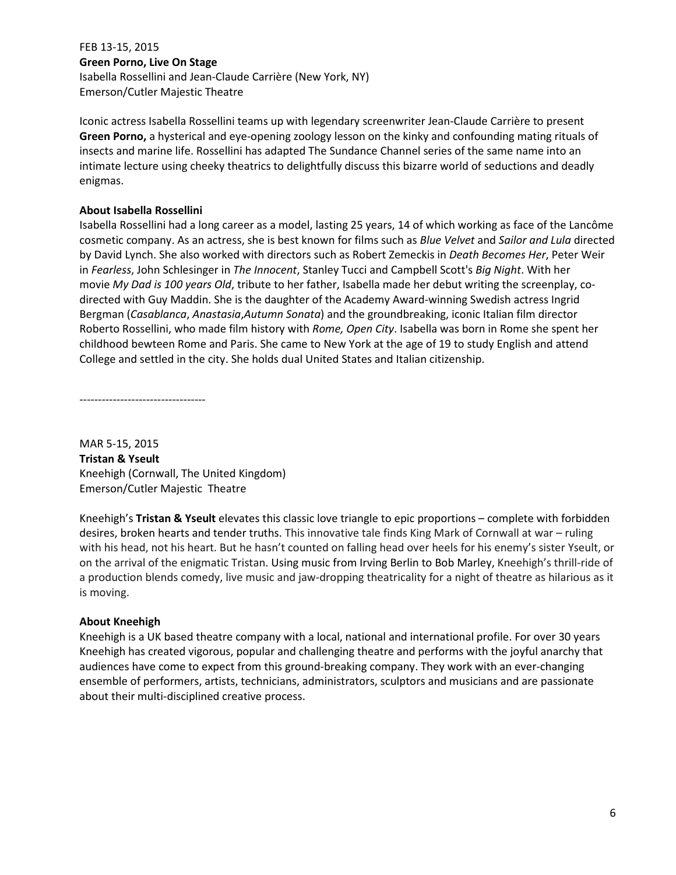FEB 13-15, 2015 **Green Porno, Live On Stage**  Isabella Rossellini and Jean-Claude Carrière (New York, NY) Emerson/Cutler Majestic Theatre

Iconic actress Isabella Rossellini teams up with legendary screenwriter Jean-Claude Carrière to present **Green Porno,** a hysterical and eye-opening zoology lesson on the kinky and confounding mating rituals of insects and marine life. Rossellini has adapted The Sundance Channel series of the same name into an intimate lecture using cheeky theatrics to delightfully discuss this bizarre world of seductions and deadly enigmas.

## **About Isabella Rossellini**

Isabella Rossellini had a long career as a model, lasting 25 years, 14 of which working as face of the Lancôme cosmetic company. As an actress, she is best known for films such as *Blue Velvet* and *Sailor and Lula* directed by David Lynch. She also worked with directors such as Robert Zemeckis in *Death Becomes Her*, Peter Weir in *Fearless*, John Schlesinger in *The Innocent*, Stanley Tucci and Campbell Scott's *Big Night*. With her movie *My Dad is 100 years Old*, tribute to her father, Isabella made her debut writing the screenplay, codirected with Guy Maddin. She is the daughter of the Academy Award-winning Swedish actress Ingrid Bergman (*Casablanca*, *Anastasia*,*Autumn Sonata*) and the groundbreaking, iconic Italian film director Roberto Rossellini, who made film history with *Rome, Open City*. Isabella was born in Rome she spent her childhood bewteen Rome and Paris. She came to New York at the age of 19 to study English and attend College and settled in the city. She holds dual United States and Italian citizenship.

----------------------------------

MAR 5-15, 2015 **Tristan & Yseult**  Kneehigh (Cornwall, The United Kingdom) Emerson/Cutler Majestic Theatre

Kneehigh's **Tristan & Yseult** elevates this classic love triangle to epic proportions – complete with forbidden desires, broken hearts and tender truths. This innovative tale finds King Mark of Cornwall at war – ruling with his head, not his heart. But he hasn't counted on falling head over heels for his enemy's sister Yseult, or on the arrival of the enigmatic Tristan. Using music from Irving Berlin to Bob Marley, Kneehigh's thrill-ride of a production blends comedy, live music and jaw-dropping theatricality for a night of theatre as hilarious as it is moving.

## **About Kneehigh**

Kneehigh is a UK based theatre company with a local, national and international profile. For over 30 years Kneehigh has created vigorous, popular and challenging theatre and performs with the joyful anarchy that audiences have come to expect from this ground-breaking company. They work with an ever-changing ensemble of performers, artists, technicians, administrators, sculptors and musicians and are passionate about their multi-disciplined creative process.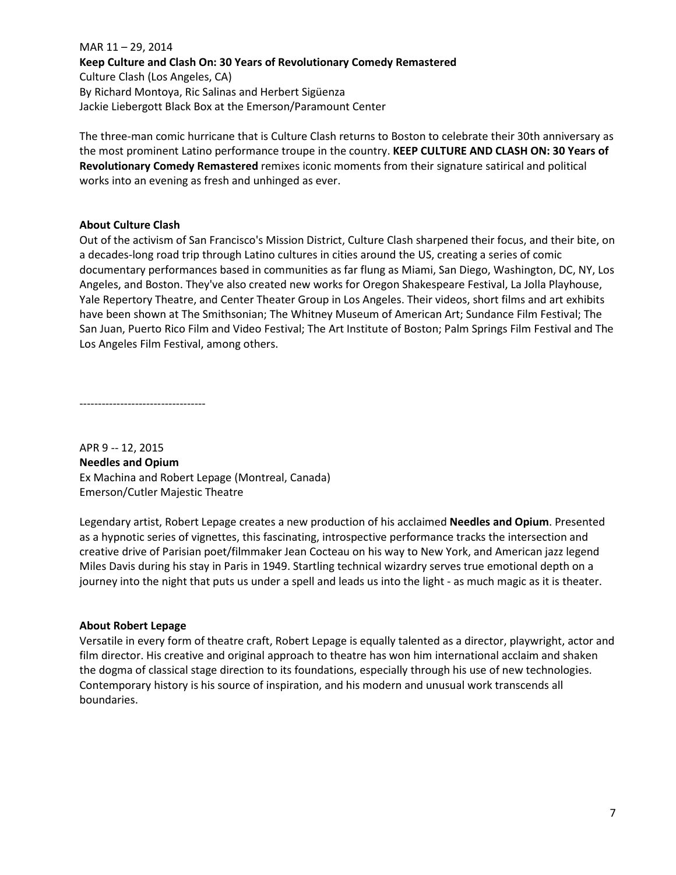MAR 11 – 29, 2014 **Keep Culture and Clash On: 30 Years of Revolutionary Comedy Remastered**  Culture Clash (Los Angeles, CA) By Richard Montoya, Ric Salinas and Herbert Sigüenza Jackie Liebergott Black Box at the Emerson/Paramount Center

The three-man comic hurricane that is Culture Clash returns to Boston to celebrate their 30th anniversary as the most prominent Latino performance troupe in the country. **KEEP CULTURE AND CLASH ON: 30 Years of Revolutionary Comedy Remastered** remixes iconic moments from their signature satirical and political works into an evening as fresh and unhinged as ever.

## **About Culture Clash**

Out of the activism of San Francisco's Mission District, Culture Clash sharpened their focus, and their bite, on a decades-long road trip through Latino cultures in cities around the US, creating a series of comic documentary performances based in communities as far flung as Miami, San Diego, Washington, DC, NY, Los Angeles, and Boston. They've also created new works for Oregon Shakespeare Festival, La Jolla Playhouse, Yale Repertory Theatre, and Center Theater Group in Los Angeles. Their videos, short films and art exhibits have been shown at The Smithsonian; The Whitney Museum of American Art; Sundance Film Festival; The San Juan, Puerto Rico Film and Video Festival; The Art Institute of Boston; Palm Springs Film Festival and The Los Angeles Film Festival, among others.

----------------------------------

APR 9 -- 12, 2015 **Needles and Opium**  Ex Machina and Robert Lepage (Montreal, Canada) Emerson/Cutler Majestic Theatre

Legendary artist, Robert Lepage creates a new production of his acclaimed **Needles and Opium**. Presented as a hypnotic series of vignettes, this fascinating, introspective performance tracks the intersection and creative drive of Parisian poet/filmmaker Jean Cocteau on his way to New York, and American jazz legend Miles Davis during his stay in Paris in 1949. Startling technical wizardry serves true emotional depth on a journey into the night that puts us under a spell and leads us into the light - as much magic as it is theater.

# **About Robert Lepage**

Versatile in every form of theatre craft, Robert Lepage is equally talented as a director, playwright, actor and film director. His creative and original approach to theatre has won him international acclaim and shaken the dogma of classical stage direction to its foundations, especially through his use of new technologies. Contemporary history is his source of inspiration, and his modern and unusual work transcends all boundaries.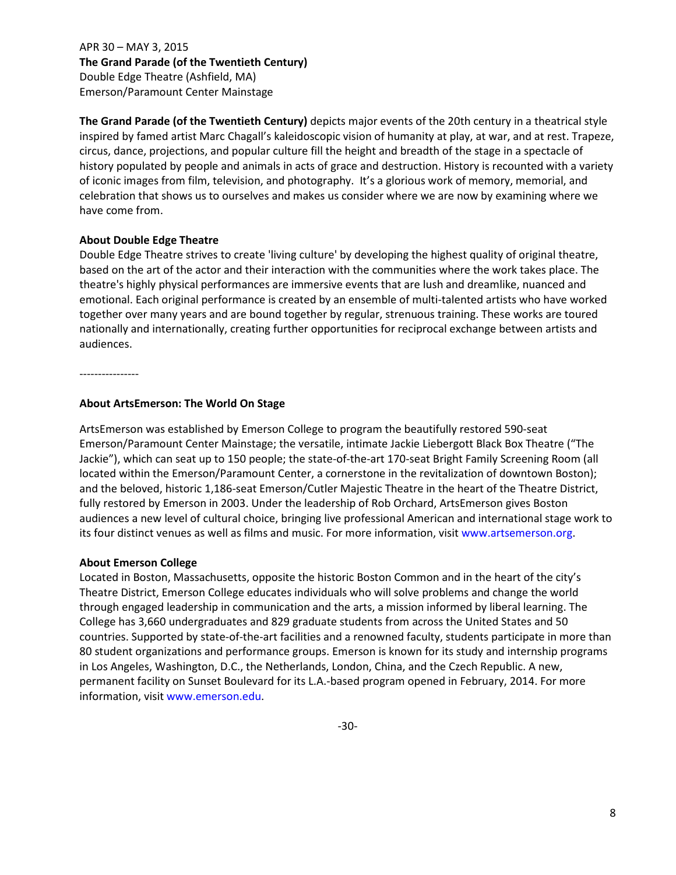APR 30 – MAY 3, 2015 **The Grand Parade (of the Twentieth Century)** Double Edge Theatre (Ashfield, MA) Emerson/Paramount Center Mainstage

**The Grand Parade (of the Twentieth Century)** depicts major events of the 20th century in a theatrical style inspired by famed artist Marc Chagall's kaleidoscopic vision of humanity at play, at war, and at rest. Trapeze, circus, dance, projections, and popular culture fill the height and breadth of the stage in a spectacle of history populated by people and animals in acts of grace and destruction. History is recounted with a variety of iconic images from film, television, and photography. It's a glorious work of memory, memorial, and celebration that shows us to ourselves and makes us consider where we are now by examining where we have come from.

#### **About Double Edge Theatre**

Double Edge Theatre strives to create 'living culture' by developing the highest quality of original theatre, based on the art of the actor and their interaction with the communities where the work takes place. The theatre's highly physical performances are immersive events that are lush and dreamlike, nuanced and emotional. Each original performance is created by an ensemble of multi-talented artists who have worked together over many years and are bound together by regular, strenuous training. These works are toured nationally and internationally, creating further opportunities for reciprocal exchange between artists and audiences.

----------------

#### **About ArtsEmerson: The World On Stage**

ArtsEmerson was established by Emerson College to program the beautifully restored 590-seat Emerson/Paramount Center Mainstage; the versatile, intimate Jackie Liebergott Black Box Theatre ("The Jackie"), which can seat up to 150 people; the state-of-the-art 170-seat Bright Family Screening Room (all located within the Emerson/Paramount Center, a cornerstone in the revitalization of downtown Boston); and the beloved, historic 1,186-seat Emerson/Cutler Majestic Theatre in the heart of the Theatre District, fully restored by Emerson in 2003. Under the leadership of Rob Orchard, ArtsEmerson gives Boston audiences a new level of cultural choice, bringing live professional American and international stage work to its four distinct venues as well as films and music. For more information, visit www.artsemerson.org.

#### **About Emerson College**

Located in Boston, Massachusetts, opposite the historic Boston Common and in the heart of the city's Theatre District, Emerson College educates individuals who will solve problems and change the world through engaged leadership in communication and the arts, a mission informed by liberal learning. The College has 3,660 undergraduates and 829 graduate students from across the United States and 50 countries. Supported by state-of-the-art facilities and a renowned faculty, students participate in more than 80 student organizations and performance groups. Emerson is known for its study and internship programs in Los Angeles, Washington, D.C., the Netherlands, London, China, and the Czech Republic. A new, permanent facility on Sunset Boulevard for its L.A.-based program opened in February, 2014. For more information, visit www.emerson.edu.